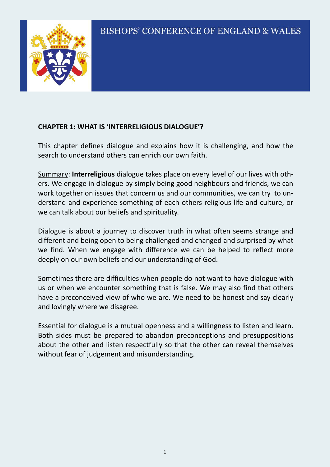

#### **CHAPTER 1: WHAT IS 'INTERRELIGIOUS DIALOGUE'?**

This chapter defines dialogue and explains how it is challenging, and how the search to understand others can enrich our own faith.

Summary: **Interreligious** dialogue takes place on every level of our lives with others. We engage in dialogue by simply being good neighbours and friends, we can work together on issues that concern us and our communities, we can try to understand and experience something of each others religious life and culture, or we can talk about our beliefs and spirituality.

Dialogue is about a journey to discover truth in what often seems strange and different and being open to being challenged and changed and surprised by what we find. When we engage with difference we can be helped to reflect more deeply on our own beliefs and our understanding of God.

Sometimes there are difficulties when people do not want to have dialogue with us or when we encounter something that is false. We may also find that others have a preconceived view of who we are. We need to be honest and say clearly and lovingly where we disagree.

Essential for dialogue is a mutual openness and a willingness to listen and learn. Both sides must be prepared to abandon preconceptions and presuppositions about the other and listen respectfully so that the other can reveal themselves without fear of judgement and misunderstanding.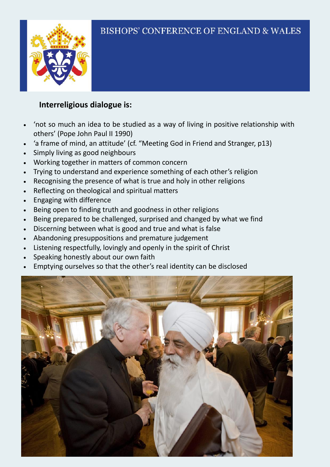

### **Interreligious dialogue is:**

- 'not so much an idea to be studied as a way of living in positive relationship with others' (Pope John Paul II 1990)
- 'a frame of mind, an attitude' (cf. "Meeting God in Friend and Stranger, p13)
- Simply living as good neighbours
- Working together in matters of common concern
- Trying to understand and experience something of each other's religion
- Recognising the presence of what is true and holy in other religions
- Reflecting on theological and spiritual matters
- Engaging with difference
- Being open to finding truth and goodness in other religions
- Being prepared to be challenged, surprised and changed by what we find
- Discerning between what is good and true and what is false
- Abandoning presuppositions and premature judgement
- Listening respectfully, lovingly and openly in the spirit of Christ
- Speaking honestly about our own faith
- Emptying ourselves so that the other's real identity can be disclosed

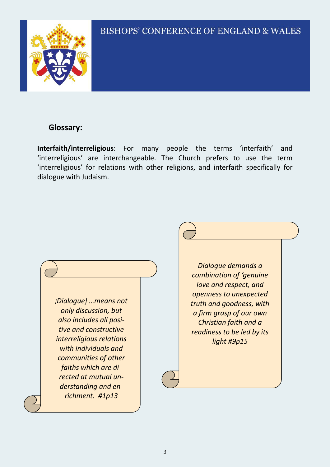

#### **Glossary:**

**Interfaith/interreligious**: For many people the terms 'interfaith' and 'interreligious' are interchangeable. The Church prefers to use the term 'interreligious' for relations with other religions, and interfaith specifically for dialogue with Judaism.

*[Dialogue] …means not only discussion, but also includes all positive and constructive interreligious relations with individuals and communities of other faiths which are directed at mutual understanding and enrichment. #1p13*

*Dialogue demands a combination of 'genuine love and respect, and openness to unexpected truth and goodness, with a firm grasp of our own Christian faith and a readiness to be led by its light #9p15*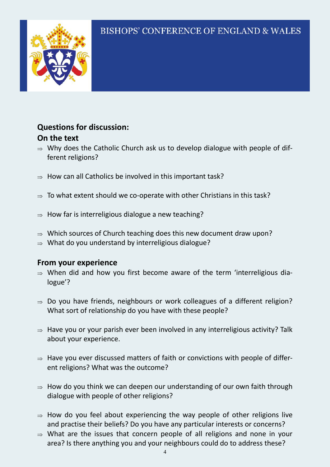

#### **Questions for discussion: On the text**

- $\Rightarrow$  Why does the Catholic Church ask us to develop dialogue with people of different religions?
- $\Rightarrow$  How can all Catholics be involved in this important task?
- $\Rightarrow$  To what extent should we co-operate with other Christians in this task?
- $\Rightarrow$  How far is interreligious dialogue a new teaching?
- $\Rightarrow$  Which sources of Church teaching does this new document draw upon?
- $\Rightarrow$  What do you understand by interreligious dialogue?

#### **From your experience**

- $\Rightarrow$  When did and how you first become aware of the term 'interreligious dialogue'?
- $\Rightarrow$  Do you have friends, neighbours or work colleagues of a different religion? What sort of relationship do you have with these people?
- $\Rightarrow$  Have you or your parish ever been involved in any interreligious activity? Talk about your experience.
- $\Rightarrow$  Have you ever discussed matters of faith or convictions with people of different religions? What was the outcome?
- $\Rightarrow$  How do you think we can deepen our understanding of our own faith through dialogue with people of other religions?
- $\Rightarrow$  How do you feel about experiencing the way people of other religions live and practise their beliefs? Do you have any particular interests or concerns?
- $\Rightarrow$  What are the issues that concern people of all religions and none in your area? Is there anything you and your neighbours could do to address these?